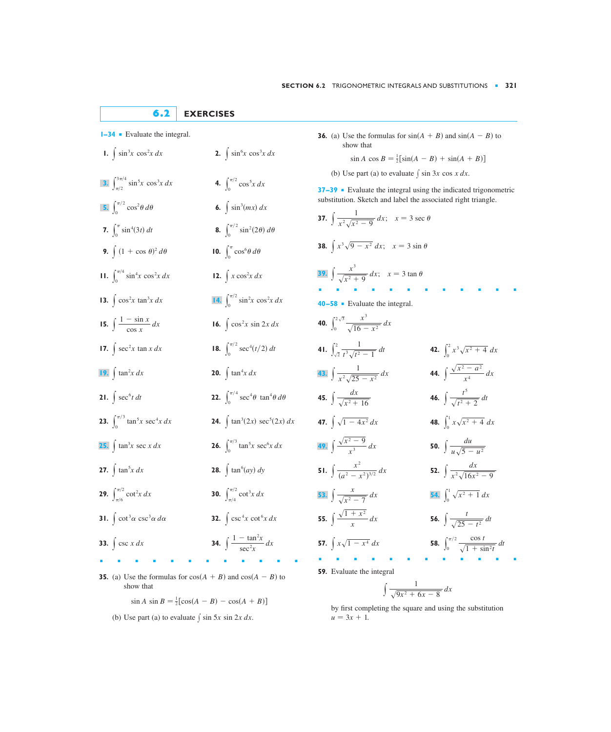## **6.2 EXERCISES**

**4.**  $\int_0^{\pi/2}$ 

 $\boldsymbol{0}$ 

 $\int_0^{\pi/2}$ 

 $\int_0^{\pi/2}$ 

 $\int_0^{\pi}$  $\boldsymbol{0}$ 

 $\mathbf{0}$ 

**16.**  $\int \cos^2 x \sin 2x \, dx$ 

- **1.**  $\sin^3 x \cos^2 x \, dx$  **2.**  $\int \sin^3 x \cos^2 x \, dx$  **2.**  $\int \sin^6 x \cos^3 x \, dx$
- 3.  $\int_{\pi/2}^{3\pi/4} \sin^5 x \cos^3 x \, dx$  4.  $\int_{0}^{\pi/2} \cos^5 x \, dx$
- $\int_0^{\pi/2} \cos^2 \theta \, d\theta$  6.  $\int \sin^3(mx) \, dx$ **5.**  $\int_0^{\pi/2} \cos^2 \theta \, d\theta$
- **7.**  $\int_{a}^{\pi} \sin^4(3t) dt$  **8.**  $\int_0^{\pi} \sin^4(3t) dt$  **8.**  $\int_0^{\pi/2} \sin^2(2\theta) d\theta$

 $\mathbf{0}$ 

0

- **9.**  $\int (1 + \cos \theta)^2 d\theta$  **10.**  $\int_0^{\pi} \cos^6 \theta d\theta$
- **11.**  $\int_0^{\pi/4} \sin^4 x \cos^2 x \, dx$  **12.**  $\int x \cos^2 x \, dx$
- **13.**  $\int \cos^2 x \tan^3 x \, dx$  $\int \cos^2 x \tan^3 x \, dx$  **14.**  $\int_0^{\pi/2} \sin^2 x \cos^2 x \, dx$
- **15.**  $\int \frac{1-\sin x}{\cos x} dx$  **16.**
- **17.**  $\int \sec^2 x \tan x \, dx$  **18.**  $\int \sec^2 x \tan x \, dx$  **18.**  $\int_0^{\pi/2} \sec^4(t/2) \, dt$
- **20.**  $\int \tan^4 x \, dx$  **20.**  $\int \tan^4 x \, dx$
- **21.**  $\int \sec^6 t \, dt$  **22.**  $\int \sec^6 t \, dt$  **22.**  $\int_0^{\pi/4} \sec^4 \theta \tan^4 \theta \, d\theta$  $\mathbf{0}$
- **23.**  $\int_0^{\pi/3} \tan^5 x \sec^4 x \, dx$  **24.**  $\int_0^{\pi/3} \tan^5 x \sec^4 x \, dx$  **24.**  $\int \tan^3(2x) \sec^5(2x) \, dx$
- **26.**  $\int_0^{\pi/3}$ **25.**  $\int \tan^3 x \sec x \, dx$  **26.**  $\int_0^{u/3} \tan^5 x \sec^6 x \, dx$
- **27.**  $\int \tan^5 x \, dx$  **28. 28.**  $\int \tan^6 (ay) \, dy$
- **29.**  $\int_{\pi/6}^{\pi/2} \cot^2 x \, dx$  **30.**  $\int_{\pi/4}^{\pi/2}$  $\int_{\pi/6}^{\pi/2} \cot^2 x \, dx$  **30.**  $\int_{\pi/4}^{\pi/2} \cot^3 x \, dx$
- **31.**  $\int \cot^3 \alpha \csc^3 \alpha \, d\alpha$  **32.**  $\int \cot^3 \alpha \ \csc^3 \alpha \ d\alpha$  32.  $\int \csc^4 x \ \cot^6 x \ dx$
- **33.**  $\int \csc x \, dx$  $\int \csc x \, dx$  **34.**  $\int \frac{\tan x}{\sec^2 x} \, dx$
- ■■■■■■■■■■■■
- **35.** (a) Use the formulas for  $cos(A + B)$  and  $cos(A B)$  to show that

 $\sin A \sin B = \frac{1}{2} [\cos(A - B) - \cos(A + B)]$ 

 $\int \frac{1 - \tan^2 x}{\sec^2 x}$ 

(b) Use part (a) to evaluate  $\int \sin 5x \sin 2x \, dx$ .

**1–34** • Evaluate the integral. **36.** (a) Use the formulas for  $sin(A + B)$  and  $sin(A - B)$  to show that

$$
\sin A \cos B = \frac{1}{2} [\sin(A - B) + \sin(A + B)]
$$

(b) Use part (a) to evaluate  $\int \sin 3x \cos x \, dx$ .

**37–39** ■ Evaluate the integral using the indicated trigonometric substitution. Sketch and label the associated right triangle.

- **37.**  $\int \frac{1}{x^2 \sqrt{x^2 9}} dx$ ;  $x = 3 \sec \theta$ **38.**  $\int x^3 \sqrt{9 - x^2} \, dx$ ;  $x = 3 \sin \theta$ **39.**  $\int \frac{x^3}{\sqrt{x^2 + 9}} dx$ ;  $x = 3 \tan \theta$ ■■■■■■■■■■■■ **40 –58** ■ Evaluate the integral. **40.**  $\int_0^{2\sqrt{3}}$ **41.**  $\int_{\sqrt{2}} \frac{1}{t^3 \sqrt{t^2 - 1}} dt$  **42. 44.**  $\int \frac{\sqrt{x^2 - a^2}}{x^4}$ **45.**  $\int \frac{dx}{\sqrt{2+16}}$  **46. 47.**  $\int \sqrt{1-4x^2} dx$  $\int \frac{\sqrt{x^2 - 9}}{x^3} dx$  **50.**  $\int \frac{du}{u\sqrt{5 - u^2}}$ **51.**  $\int \frac{x}{(a^2 - x^2)^{3/2}} dx$  **52. 55.**  $\int \frac{\sqrt{x^2 + x^2}}{x} dx$  **56. 57.**  $\int x\sqrt{1-x^4} dx$  $\int_0^{\pi/2}$ 0  $\int x\sqrt{1-x^4} dx$  **58.**  $\int_0^{\pi/2} \frac{\cos t}{\sqrt{1+\sin^2 t}} dt$  $\int \frac{\sqrt{1 + x^2}}{x} dx$  **56.**  $\int \frac{t}{\sqrt{25 - t^2}} dt$  $\int \frac{x}{\sqrt{x^2-7}} dx$  54.  $\int_0^1 \sqrt{x^2+1} dx$ **53.**  $\int \frac{x}{\sqrt{x^2-7}} dx$  $\int \frac{x^2}{(a^2 - x^2)^{3/2}} dx$  **52.**  $\int \frac{dx}{x^2 \sqrt{16x^2 - 9}}$ **49.**  $\int \frac{\sqrt{x^2-9}}{x^3} dx$  $\int_0^1$  $\int \sqrt{1-4x^2} \, dx$  **48.**  $\int_0^1 x\sqrt{x^2+4} \, dx$  $\int \frac{dx}{\sqrt{x^2 + 16}}$  **46.**  $\int \frac{t^5}{\sqrt{t^2 + 2}} dt$  $\sqrt{x^2 + 16}$  $\int \frac{1}{x^2 \sqrt{25 - x^2}} dx$  **44.**  $\int \frac{\sqrt{x^2 - a^2}}{x^4} dx$ **43.**  $\int \frac{1}{x^2 \sqrt{25 - x^2}} dx$  $\int_0^2$  $\int_{\sqrt{2}}^{2} \frac{1}{t^3 \sqrt{t^2 - 1}} dt$  **42.**  $\int_{0}^{2} x^3 \sqrt{x^2 + 4} dx$ 1  $\int_0^1 t^3 \sqrt{t^2 - 1} dt$ 0  $\frac{x^3}{\sqrt{16-x^2}} dx$  $\int \frac{1}{x^2\sqrt{x^2-9}} dx$
- **59.** Evaluate the integral

$$
\int \frac{1}{\sqrt{9x^2 + 6x - 8}} \, dx
$$

■■■■■■■■■■■■

by first completing the square and using the substitution  $u = 3x + 1.$